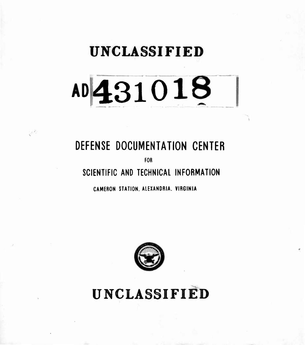## **UNCLASSIFIED**

# **AD4310**

## **DEFENSE DOCUMENTATION CENTER**

군주

**FOR**

**SCIENTIFIC AND TECHNICAL INFORMATION**

**CAMERON STATION. ALEXANDRIA. VIRGINIA**



UNCLASSIFIED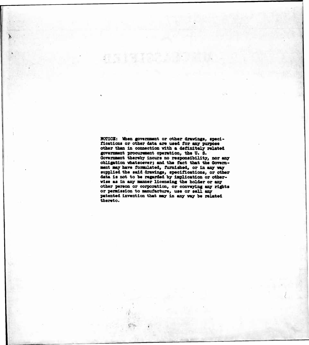**NOTICE: When govermnent or other drurlagi, specifications or other date are used for any puxpose other than In connection with a definitely related government procurement operation, the U. S. Oovemment thereby Incurs no responsibility, nor any obligation vhatsoever; and the feet that the Oovemment may have fontulated, furnished, or in any way supplied the said drawings, specifications, or other data is not to be regarded by implication or othervise as in any manner licensing the holder or any other person or coxporation, or conveying any rights or permission to manufacture, use or sell any patented invention that may in any way be related thereto.**

.

**.**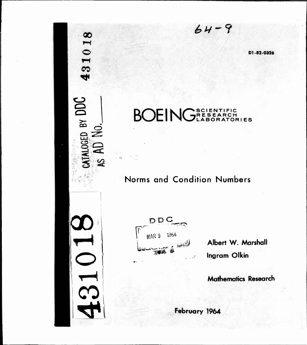**D1-82-0326**

#### BOEING<sup>SCIENTIFIC</sup> **RES EARCH** TIFIC<br>RCH<br>ATORIES

**£V~?**

### **Norms and Condition Numbers**

**DDC fi'ii ^ <sup>I</sup> WAR <sup>9</sup> ^^ i.ia«-J ,** *w\** **\***

**00**

**O**

**CO**

**O**

**8 Q**

**1** *en*

**00**

**o**

CO

**^1**

**^SJ Albert W. Marshall Ingram Olkin**

**Mathematics Research**

**February 1964**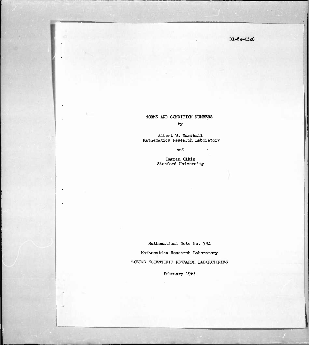Dl-82-0326

#### NORMS AND CQNDITICN NUMBERS by

Albert W. Marshall Mathematics Research Laboratory

and

Ingram Olkln Stanford University

Mathematical Note No. 334-

Mathematics Research Laboratory BOEING SCIENTIFIC RESEARCH LABORATORIES

February 1964.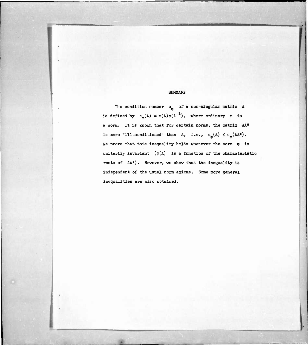#### SUMMARY

The condition number  $c_{\varphi}$  of a non-singular matrix A is defined by  $c_{\varphi}(A) = \varphi(A)\varphi(A^{-1})$ , where ordinary  $\varphi$  is a norm. It is known that for certain norms, the matrix AA\* is more "ill-conditioned" than A, i.e.,  $c_{\varphi}(A) \leq c_{\varphi}(AA^*)$ . We prove that this inequality holds whenever the norm  $\phi$  is unitarily invariant  $(\varphi(A)$  is a function of the characteristic roots of AA\*). However, we show that the inequality is independent of the usual norm axioms. Some more general inequalities are also obtained.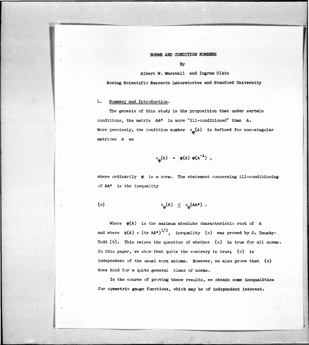NORMS AND CONDITION NUMBERS

By

Albert W. Marshall and Ingram Olkln

Boeing Scientific Research Laboratories and Stanford University

#### 1. Summary and Introduction.

The genesis of this study is the proposition that under certain conditions, the matrix AA\* is more "ill-conditioned" than A. More precisely, the condition number  $c_{\bf m}(\mathbf{A})$  is defined for non-singular matrices A as

$$
c_{\mathbf{Q}}(A) = \varphi(A) \varphi(A^{-1}),
$$

where ordinarily  $\varphi$  is a norm. The statement concerning ill-conditioning of AA\* is the inequality

(c) 
$$
c_{\phi}(A) \leq c_{\phi}(AA^{*})
$$
.

Where  $\varphi(A)$  is the maximum absolute characteristic root of A and where  $\varphi(A) = (tr \ AA^*)^{1/2}$ , inequality (c) was proved by 0. Tausky-Todd [6]. This raises the question of whether (c) is true for all norms. In this paper, we show that quite the contrary is true; (c) is independent of the usual norm axioms. However, we also prove that (c) does hold for a quite general class of norms.

In the course of proving these results, we obtain some inequalities for syrrmetric gauge functions, which may be of independent interest.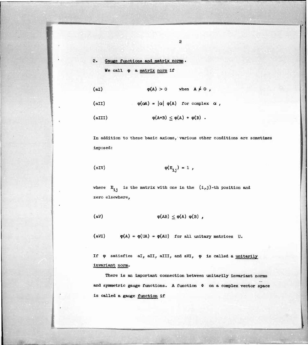#### 2. Gauge functions and matrix norms. We call  $\varphi$  a matrix norm if

$$
\varphi(A) > 0 \quad \text{when} \quad A \neq 0 ,
$$

$$
\varphi(\alpha A) = |\alpha| \varphi(A) \text{ for complex } \alpha ,
$$

$$
\varphi(A+B) \leq \varphi(A) + \varphi(B) .
$$

In addition to these basic axioms, various other conditions are sometimes imposed:

$$
\varphi(E_{i,j}) = 1,
$$

where  $E_{i,j}$  is the matrix with one in the  $(i,j)$ -th position and zero elsewhere,

$$
\varphi(AB) \leq \varphi(A) \varphi(B) ,
$$

(aVI)  $\varphi(A) = \varphi(UA) = \varphi(AU)$  for all unitary matrices U.

If  $\varphi$  satisfies al, all, alll, and aVI,  $\varphi$  is called a unitarily Invariant norm.

There is an important connection between unitarily invariant norms and symmetric gauge functions. A function  $\Phi$  on a complex vector space is called a gauge function if

 $\overline{c}$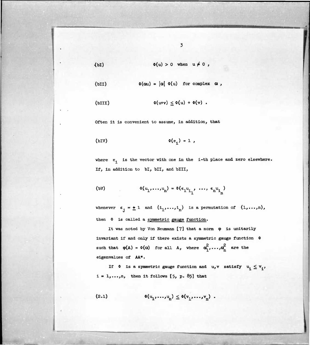(bI) 
$$
\Phi(u) > 0 \quad \text{when} \quad u \neq 0
$$

(bII) 
$$
\Phi(\alpha u) = |\alpha| \Phi(u) \text{ for complex } \alpha ,
$$

$$
\Phi(u+v) \leq \Phi(u) + \Phi(v) .
$$

Often it is convenient to assume, in addition, that

$$
\Phi(e_{4}) = 1,
$$

where  $e_i$  is the vector with one in the i-th place and zero elsewhere. If, in addition to bI, bII, and bIII,

$$
\Phi(u_1, \ldots, u_n) = \Phi(\epsilon_1 u_1, \ldots, \epsilon_n u_1)
$$

whenever  $\epsilon_j = \pm 1$  and  $(i_1,\ldots,i_n)$  is a permutation of  $(1,\ldots,n)$ , then  $\Phi$  is called a symmetric gauge function.

It was noted by Von Neumann  $[7]$  that a norm  $\varphi$  is unitarily invariant if and only if there exists a symmetric gauge function  $\Phi$ such that  $\varphi(A) = \varphi(\alpha)$  for all A, where  $\alpha_1^2, \ldots, \alpha_n^2$  are the eigenvalues of AA\*.

If  $\phi$  is a symmetric gauge function and u,v satisfy  $u_1 \le v_1$ ,  $i = 1, \ldots, n$ , then it follows  $[5, p. 85]$  that

$$
(\mathbf{2.1}) \qquad \qquad \mathbf{0}(\mathbf{u}_1, \ldots, \mathbf{u}_n) \leq \mathbf{0}(\mathbf{v}_1, \ldots, \mathbf{v}_n) \ .
$$

 $\overline{3}$ 

*mmmm*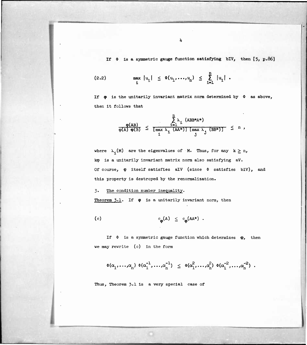**If \* is a symmetric gauge function satisfying blV, then [5, p.86]**

$$
(2.2) \quad \max_{i} |u_{1}| \leq \Phi(u_{1},...,u_{n}) \leq \sum_{i=1}^{n} |u_{i}|.
$$

If  $\phi$  is the unitarily invariant matrix norm determined by  $\phi$  as above, then it follows that

$$
\frac{\phi(AB)}{\phi(A)\ \phi(B)} \leq \frac{\sum\limits_{i=1}^{n} \lambda_i \ (ABB*A*)}{\left[\max\limits_{i} \lambda_i \ (AA*)\right] \left[\max\limits_{j} \lambda_j \ (BB*)\right]} \leq n,
$$

where  $\lambda_1(M)$  are the eigenvalues of M. Thus, for any  $k \ge n$ , kxp is a unitarily invariant matrix norm also satisfying aV. Of course,  $\varphi$  itself satisfies alV (since  $\varphi$  satisfies blV), and this property is destroyed by the renormalization.

#### 3- The condition number inequality.

Theorem  $3.1$ . If  $\phi$  is a unitarily invariant norm, then

(c) 
$$
c_{\phi}(A) \leq c_{\phi}(AA^*)
$$
.

If  $\Phi$  is a symmetric gauge function which determines  $\phi$ , then we may rewrite (c) in the form

 $\Phi(\alpha_1, \ldots, \alpha_n) \Phi(\alpha_1^{-1}, \ldots, \alpha_n^{-1}) \leq \Phi(\alpha_1^2, \ldots, \alpha_n^2) \Phi(\alpha_1^{-2}, \ldots, \alpha_n^{-2})$ .

Thus, Theorem 3.1 is a very special case of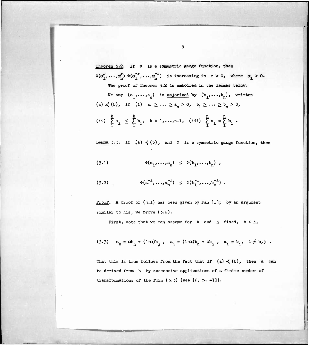**Theorem 3.2. If <I> is a symmetric gauge function, then**  $\Phi(\alpha_1^{\text{T}}, \ldots, \alpha_n^{\text{T}}) \Phi(\alpha_1^{-{\text{T}}}, \ldots, \alpha_n^{-{\text{T}}})$  is increasing in  $r > 0$ , where  $\alpha_i > 0$ . The proof of Theorem 5.2 is **embodied in the lemmas helow.**

We say 
$$
(a_1, \ldots, a_n)
$$
 is majorized by  $(b_1, \ldots, b_n)$ , written\n(a)  $\prec$  (b), if (i)  $a_1 \geq \cdots \geq a_n > 0$ ,  $b_1 \geq \cdots \geq b_n > 0$ ,\n(i)  $\sum_{1}^{k} a_1 \leq \sum_{1}^{k} b_1$ ,  $k = 1, \ldots, n-1$ , (iii)  $\sum_{1}^{n} a_1 = \sum_{1}^{n} b_1$ .

Lemma  $3.5$ . If  $(a) \prec (b)$ , and  $\Phi$  is a symmetric gauge function, then

$$
(3.1) \qquad \Phi(a_1, \ldots, a_n) \leq \Phi(b_1, \ldots, b_n) ,
$$

$$
(3.2) \quad \Phi(a_1^{-1},...,a_n^{-1}) \leq \Phi(b_1^{-1},...,b_n^{-1}).
$$

Proof. A proof of (3-1) has been given by Fan **[l]j** by an argument similar to his, we prove (3.2).

First, note that we can assume for h and **<sup>j</sup>** fixed, h < j,

$$
(3.3) \quad a_{h} = \alpha b_{h} + (1-\alpha) b_{j} \quad a_{j} = (1-\alpha) b_{h} + \alpha b_{j} \quad a_{i} = b_{i} \quad i \neq h, j \quad .
$$

That this is true follows from the fact that if  $(a) \prec (b)$ , then a can be derived from b by successive applications of a finite number of transformations of the form  $(5.3)$  (see  $[2, p. 47]$ ).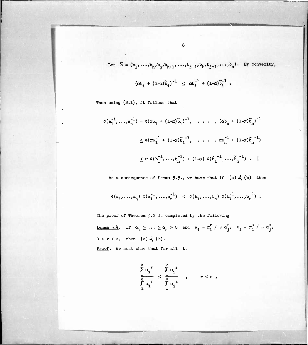Let 
$$
\tilde{b} = (b_1, ..., b_h, b_j, b_{h+1}, ..., b_{j-1}, b_h, b_{j+1}, ..., b_n)
$$
. By convexity,  

$$
(\alpha b_i + (1-\alpha)\tilde{b}_i)^{-1} \leq \alpha b_i^{-1} + (1-\alpha)\tilde{b}_i^{-1}.
$$

Then using  $(2.1)$ , it follows that

$$
\Phi(\mathbf{a}_{1}^{-1},...,\mathbf{a}_{n}^{-1}) = \Phi(\alpha \mathbf{b}_{1} + (1-\alpha)\widetilde{\mathbf{b}}_{1})^{-1}, \dots, (\alpha \mathbf{b}_{n} + (1-\alpha)\widetilde{\mathbf{b}}_{n})^{-1}
$$
  

$$
\leq \Phi(\alpha \mathbf{b}_{1}^{-1} + (1-\alpha)\widetilde{\mathbf{b}}_{1}^{-1}, \dots, \alpha \mathbf{b}_{n}^{-1} + (1-\alpha)\widetilde{\mathbf{b}}_{n}^{-1})
$$
  

$$
\leq \alpha \Phi(\mathbf{b}_{1}^{-1},...,\mathbf{b}_{n}^{-1}) + (1-\alpha) \Phi(\widetilde{\mathbf{b}}_{1}^{-1},...,\widetilde{\mathbf{b}}_{n}^{-1}) \cdot \parallel
$$

As a consequence of Lemma  $\overline{3.5}$ ., we have that if (a)  $\overline{4}$  (b) then

$$
\Phi(a_1, ..., a_n) \Phi(a_1^{-1}, ..., a_n^{-1}) \leq \Phi(b_1, ..., b_n) \Phi(b_1^{-1}, ..., b_n^{-1}).
$$

The proof of Theorem 3.2 is completed by the following

 $\textbf{\underline{Lemma 3.4.}} \quad \text{If} \quad \alpha_1 \geq \cdots \geq \alpha_n > 0 \quad \text{and} \quad \mathtt{a_i} \,=\, \alpha_i^{\mathtt{r}} \,\,\big/\,\, \mathtt{\Sigma} \,\,\alpha_j^{\mathtt{r}}, \quad \mathtt{b_i} \,=\, \alpha_i^{\mathtt{S}} \,\,\big/\,\, \mathtt{\Sigma} \,\,\alpha_j^{\mathtt{S}},$  $0 < r < s$ , then  $(a) \nightharpoonup (b)$ .

Proof. We must show that for all k,

$$
\frac{\sum_{i=1}^{k} \alpha_i^r}{\sum_{i=1}^{n} \alpha_i^r} \leq \frac{\sum_{i=1}^{k} \alpha_i^s}{\sum_{i=1}^{n} \alpha_i^s}, \qquad r < s ,
$$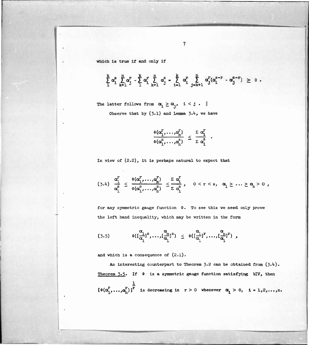which is true if and only if

$$
\sum_{1}^{k} \alpha_{i}^{s} \sum_{k+1}^{n} \alpha_{j}^{r} - \sum_{1}^{k} \alpha_{i}^{r} \sum_{k+1}^{n} \alpha_{j}^{s} = \sum_{i=1}^{k} \alpha_{i}^{r} \sum_{j=k+1}^{n} \alpha_{j}^{r} (\alpha_{i}^{s-r} - \alpha_{j}^{s-r}) \geq 0.
$$

 $\overline{7}$ 

The latter follows from  $\alpha_i \ge \alpha_j$ , i < j.  $\parallel$ Observe that by  $(3.1)$  and Lemma  $3.4$ , we have

$$
\frac{\Phi(\alpha_1^F,\ldots,\alpha_n^F)}{\Phi(\alpha_1^S,\ldots,\alpha_n^S)} \leq \frac{\sum \alpha_1^F}{\sum \alpha_1^S}
$$

In view of (2.2), it is perhaps natural to expect that

$$
(3.4) \frac{\alpha_1^r}{\alpha_1^s} \leq \frac{\Phi(\alpha_1^r, \ldots, \alpha_n^r)}{\Phi(\alpha_1^s, \ldots, \alpha_n^s)} \leq \frac{\sum \alpha_1^r}{\sum \alpha_1^s}, \quad 0 < r < s, \alpha_1 \geq \ldots \geq \alpha_n > 0 ,
$$

for any symmetric gauge function  $\Phi$ . To see this we need only prove the left hand inequality, which may be written in the form

$$
(3.5) \qquad \Phi([\frac{\alpha_1}{\alpha_1}]^s, \ldots, [\frac{\alpha_n}{\alpha_1}]^s) \leq \Phi([\frac{\alpha_1}{\alpha_1}]^r, \ldots, [\frac{\alpha_n}{\alpha_1}]^r) ,
$$

and which is a consequence of (2.1).

An interesting counterpart to Theorem  $3.2$  can be obtained from  $(3.4)$ . Theorem  $3.5$ . If  $\phi$  is a symmetric gauge function satisfying bIV, then 1  $\left[\begin{smallmatrix}\Phi(\alpha_1^T, \ldots, \alpha_n^T)\end{smallmatrix}\right]^T$  is decreasing in  $r > 0$  whenever  $\alpha_i > 0$ ,  $i = 1, 2, \ldots, n$ .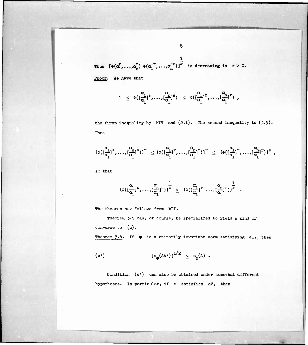Thus 
$$
[\Phi(\alpha_1^r, ..., \alpha_n^r) \Phi(\alpha_1^{-r}, ..., \alpha_n^{-r})]^{\frac{1}{r}}
$$
 is decreasing in  $r > 0$ .

**Proof. We have that**

$$
1 \leq \phi([\frac{\alpha_1}{\alpha_1}]^s, \ldots, [\frac{\alpha_n}{\alpha_1}]^s) \leq \phi([\frac{\alpha_1}{\alpha_1}]^r, \ldots, [\frac{\alpha_n}{\alpha_1}]^r) ,
$$

the first inequality by  $bIV$  and  $(2.1)$ . The second inequality is  $(3.5)$ . Thus

$$
\{\varphi([\frac{\alpha}{\alpha_1}]^s,\ldots,[\frac{\alpha}{\alpha_1}]^s)\}^r\ \leq \{\varphi([\frac{\alpha_1}{\alpha_1}]^r,\ldots,[\frac{\alpha}{\alpha_1}]^r)\}^r\ \leq\ \{\varphi([\frac{\alpha_1}{\alpha_1}]^r,\ldots,[\frac{\alpha}{\alpha_1}]^r)\}^s\ ,
$$

so that

$$
(\Phi([\frac{\alpha}{\alpha_1}]^s,\ldots,[\frac{\alpha}{\alpha_1}]^s))^{\frac{1}{s}}\ \leq\ (\Phi([\frac{\alpha}{\alpha_1}]^r,\ldots,[\frac{\alpha}{\alpha_1}]^r))^{\frac{1}{r}}\ .
$$

The theorem now follows from bII. ||

Theorem 3.5 can, of course, be specialized to yield a kind of converse to (c).

Theorem  $3.6$ . If  $\phi$  is a unitarily invariant norm satisfying alV, then

$$
(c*) \qquad [c_{\varphi}(AA*)]^{1/2} \leq c_{\varphi}(A) .
$$

Condition (c\*) can also be obtained under somewhat different hypotheses. In particular, if  $\varphi$  satisfies aV, then

8

MM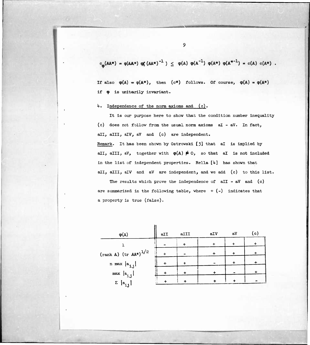$c_m(AA^*) = \varphi(AA^*) \varphi(AA^*)^{-1}$  )  $\leq \varphi(A) \varphi(A^{-1}) \varphi(A^*) \varphi(A^{*-1}) = c(A) c(A^*)$ 

If also  $\varphi(A) = \varphi(A^*)$ , then (c\*) follows. Of course,  $\varphi(A) = \varphi(A^*)$ if  $\varphi$  is unitarily invariant.

#### *k.* Independence of the norm axioms and (c).

It is our purpose here to show that the condition number inequality (c) does not follow from the usual norm axioms  $aI - aV$ . In fact, all, alll, alV, aV and (c) are independent. Remark. It has been shown by Ostrowski [3] that aI is implied by aII, aIII, aV, together with  $\varphi(A) \neq 0$ , so that aI is not included in the list of independent properties. Rella *[k]* has shown that all, alli, alv and aV are independent, and we add (c) to this list.

The results which prove the independence of  $aII - aV$  and  $(c)$ are summarized in the following table, where  $+$  (-) indicates that a property is true (false).

| $\varphi(A)$                                                                                               | aII | aIII | aIV | aV | (c) |
|------------------------------------------------------------------------------------------------------------|-----|------|-----|----|-----|
|                                                                                                            |     |      |     |    |     |
| $(rank A)$ (tr $AA^{*}$ ) <sup>1/2</sup>                                                                   |     |      |     | ተ  |     |
| n max $ a_{ij} $                                                                                           |     |      |     |    |     |
|                                                                                                            |     |      |     |    |     |
| $\begin{aligned} \max \ \big  \mathbf{a_{i,j}} \big  \\ \sum \ \big  \mathbf{a_{i,j}} \big  \end{aligned}$ |     |      |     |    |     |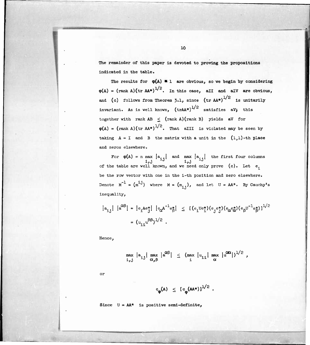The remainder of this paper is devoted to proving the propositions indicated in the table.

The results for  $\varphi(A) = 1$  are obvious, so we begin by considering  $\varphi(A) = (\text{rank } A)(\text{tr } AA^*)^{1/2}$ . In this case, all and all are obvious, and (c) follows from Theorem 3.1, since  $(\text{tr A}A^*)^{1/2}$  is unitarily invariant. As is well known,  $\text{(trAA*)}^{1/2}$  satisfies aV; this together with rank  $AB < (rank A)(rank B)$  yields aV for  $\varphi(A) = (\text{rank } A)(\text{tr } AA^*)^{1/2}$ . That alll is violated may be seen by taking  $A = I$  and B the matrix with a unit in the  $(1,1)$ -th place and zeros elsewhere.

For  $\varphi(A)$  = n max  $[a_{i,j}]$  and max  $[a_{i,j}]$  the first four columns of the table are well known, and we need only prove (c). Let e be the row vector with one in the i-th position and zero elsewhere. Denote  $M^{-1} = (m^{i,j})$  where  $M = (m_{i,j})$ , and let  $U = AA^*$ . By Cauchy's inequality,

$$
|a_{1j}| |a^{\alpha\beta}| = |e_1Ae_j^*| |e_{\alpha}A^{-1}e_{\beta}^*| \leq [ (e_1Ue_j^*)(e_je_j^*)(e_{\alpha}e_{\alpha}^*)(e_{\beta}U^{-1}e_{\beta}^*) ]^{1/2}
$$
  
=  $(u_{11}u^{\beta\beta})^{1/2}$ .

Hence,

$$
\max_{i,j} |a_{ij}| \max_{\alpha,\beta} |a^{\alpha\beta}| \leq (\max_i |u_{1i}| \max_{\alpha} |u^{\alpha\alpha}|)^{1/2},
$$

or

$$
c_{\varphi}(A) \leq [c_{\varphi}(AA^*)]^{1/2}
$$

Since  $U = AA^*$  is positive semi-definite,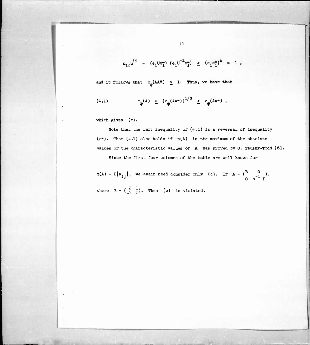$$
u_{11}u^{11} = (e_1Ue_1^*) (e_1U^{-1}e_1^*) \ge (e_1e_1^*)^2 = 1
$$
,

and it follows that  $c_{\phi} (AA^*) \geq 1$ . Thus, we have that

$$
(\text{4.1}) \quad c_{\phi}(\text{A}) \leq \left[ c_{\phi}(\text{AA*}) \right]^{1/2} \leq c_{\phi}(\text{AA*}) ,
$$

which gives (c).

Note that the left inequality of  $(4.1)$  is a reversal of inequality  $(c*)$ . That  $(4.1)$  also holds if  $\varphi(A)$  is the maximum of the absolute values of the characteristic values of A was proved by 0. Tausky-Todd [6]. Since the first four columns of the table are well known for

 $\varphi(A) = \Sigma[a_{1,1}],$  we again need consider only (c). If  $A = \begin{pmatrix} B & 0 \\ 0 & -1 \end{pmatrix}$ , 0 n I where  $B = \begin{pmatrix} 2 & 1 \ -1 & 2 \end{pmatrix}$ . Then (c) is violated.

**II 111**